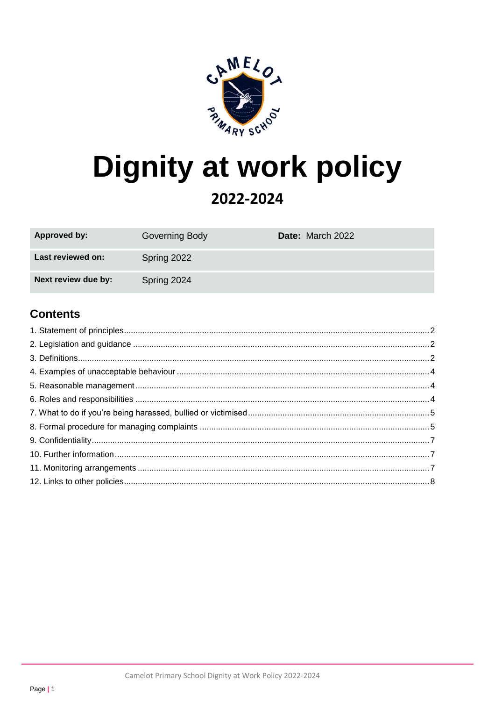

# **Dignity at work policy**

## 2022-2024

| Approved by:        | Governing Body | Date: March 2022 |
|---------------------|----------------|------------------|
| Last reviewed on:   | Spring 2022    |                  |
| Next review due by: | Spring 2024    |                  |

## **Contents**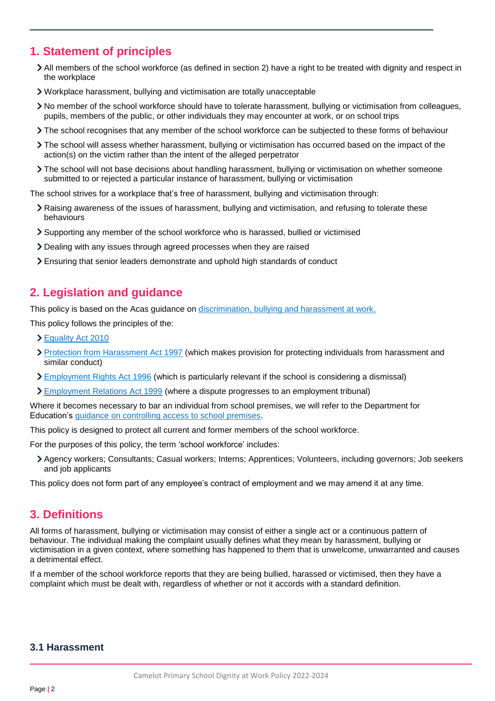## <span id="page-1-0"></span>**1. Statement of principles**

- All members of the school workforce (as defined in section 2) have a right to be treated with dignity and respect in the workplace
- Workplace harassment, bullying and victimisation are totally unacceptable
- No member of the school workforce should have to tolerate harassment, bullying or victimisation from colleagues, pupils, members of the public, or other individuals they may encounter at work, or on school trips
- The school recognises that any member of the school workforce can be subjected to these forms of behaviour
- The school will assess whether harassment, bullying or victimisation has occurred based on the impact of the action(s) on the victim rather than the intent of the alleged perpetrator
- The school will not base decisions about handling harassment, bullying or victimisation on whether someone submitted to or rejected a particular instance of harassment, bullying or victimisation

The school strives for a workplace that's free of harassment, bullying and victimisation through:

- Raising awareness of the issues of harassment, bullying and victimisation, and refusing to tolerate these behaviours
- Supporting any member of the school workforce who is harassed, bullied or victimised
- Dealing with any issues through agreed processes when they are raised
- Ensuring that senior leaders demonstrate and uphold high standards of conduct

## <span id="page-1-1"></span>**2. Legislation and guidance**

This policy is based on the Acas guidance on [discrimination, bullying and harassment at work.](https://www.acas.org.uk/if-youre-treated-unfairly-at-work)

This policy follows the principles of the:

- [Equality Act 2010](https://www.legislation.gov.uk/ukpga/2010/15/contents)
- [Protection from Harassment Act 1997](https://www.legislation.gov.uk/ukpga/1997/40/contents) (which makes provision for protecting individuals from harassment and similar conduct)
- **[Employment Rights Act 1996](https://www.legislation.gov.uk/ukpga/1996/18/contents) (which is particularly relevant if the school is considering a dismissal)**
- [Employment Relations Act 1999](http://www.legislation.gov.uk/ukpga/1999/26/contents) (where a dispute progresses to an employment tribunal)

Where it becomes necessary to bar an individual from school premises, we will refer to the Department for Education's [guidance on controlling access to school premises.](https://www.gov.uk/government/publications/controlling-access-to-school-premises)

This policy is designed to protect all current and former members of the school workforce.

For the purposes of this policy, the term 'school workforce' includes:

Agency workers; Consultants; Casual workers; Interns; Apprentices; Volunteers, including governors; Job seekers and job applicants

This policy does not form part of any employee's contract of employment and we may amend it at any time.

## <span id="page-1-2"></span>**3. Definitions**

All forms of harassment, bullying or victimisation may consist of either a single act or a continuous pattern of behaviour. The individual making the complaint usually defines what they mean by harassment, bullying or victimisation in a given context, where something has happened to them that is unwelcome, unwarranted and causes a detrimental effect.

If a member of the school workforce reports that they are being bullied, harassed or victimised, then they have a complaint which must be dealt with, regardless of whether or not it accords with a standard definition.

#### **3.1 Harassment**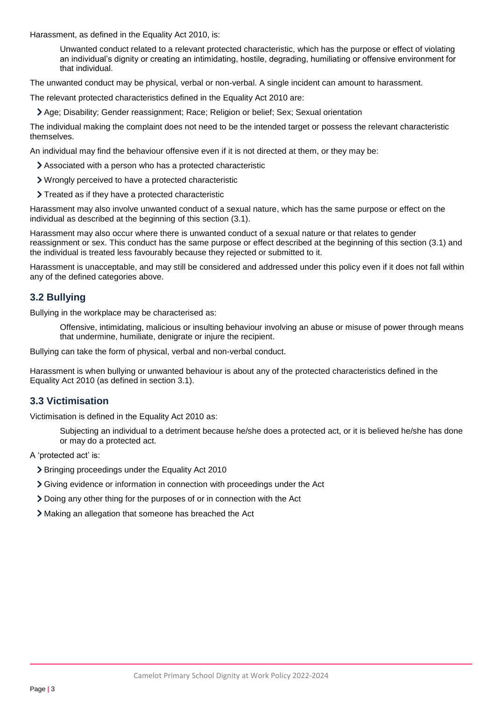Harassment, as defined in the Equality Act 2010, is:

Unwanted conduct related to a relevant protected characteristic, which has the purpose or effect of violating an individual's dignity or creating an intimidating, hostile, degrading, humiliating or offensive environment for that individual.

The unwanted conduct may be physical, verbal or non-verbal. A single incident can amount to harassment.

The relevant protected characteristics defined in the Equality Act 2010 are:

Age; Disability; Gender reassignment; Race; Religion or belief; Sex; Sexual orientation

The individual making the complaint does not need to be the intended target or possess the relevant characteristic themselves.

An individual may find the behaviour offensive even if it is not directed at them, or they may be:

- Associated with a person who has a protected characteristic
- Wrongly perceived to have a protected characteristic
- > Treated as if they have a protected characteristic

Harassment may also involve unwanted conduct of a sexual nature, which has the same purpose or effect on the individual as described at the beginning of this section (3.1).

Harassment may also occur where there is unwanted conduct of a sexual nature or that relates to gender reassignment or sex. This conduct has the same purpose or effect described at the beginning of this section (3.1) and the individual is treated less favourably because they rejected or submitted to it.

Harassment is unacceptable, and may still be considered and addressed under this policy even if it does not fall within any of the defined categories above.

### **3.2 Bullying**

Bullying in the workplace may be characterised as:

Offensive, intimidating, malicious or insulting behaviour involving an abuse or misuse of power through means that undermine, humiliate, denigrate or injure the recipient.

Bullying can take the form of physical, verbal and non-verbal conduct.

Harassment is when bullying or unwanted behaviour is about any of the protected characteristics defined in the Equality Act 2010 (as defined in section 3.1).

### **3.3 Victimisation**

Victimisation is defined in the Equality Act 2010 as:

Subjecting an individual to a detriment because he/she does a protected act, or it is believed he/she has done or may do a protected act.

A 'protected act' is:

- Bringing proceedings under the Equality Act 2010
- Giving evidence or information in connection with proceedings under the Act
- Doing any other thing for the purposes of or in connection with the Act
- <span id="page-2-0"></span>Making an allegation that someone has breached the Act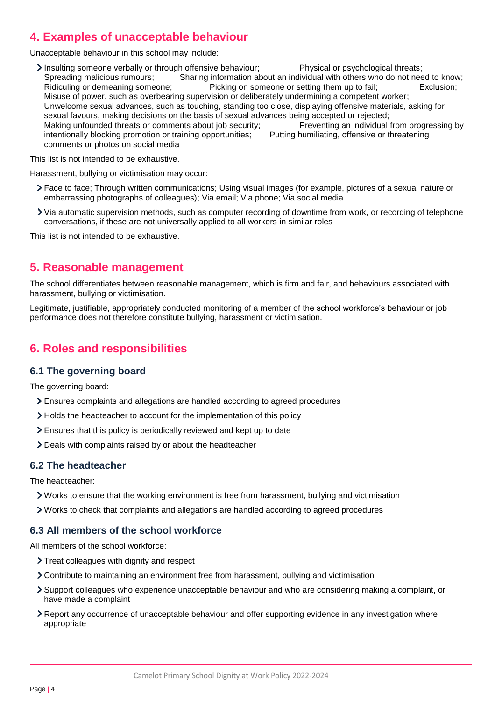## **4. Examples of unacceptable behaviour**

Unacceptable behaviour in this school may include:

Insulting someone verbally or through offensive behaviour; Physical or psychological threats; Spreading malicious rumours; Sharing information about an individual with others who do not need to know;<br>Ridiculing or demeaning someone; Picking on someone or setting them up to fail; Exclusion; Picking on someone or setting them up to fail; Exclusion; Misuse of power, such as overbearing supervision or deliberately undermining a competent worker; Unwelcome sexual advances, such as touching, standing too close, displaying offensive materials, asking for sexual favours, making decisions on the basis of sexual advances being accepted or rejected;<br>Making unfounded threats or comments about job security;<br>Preventing an individual from progressing by Making unfounded threats or comments about job security; intentionally blocking promotion or training opportunities; Putting humiliating, offensive or threatening comments or photos on social media

This list is not intended to be exhaustive.

Harassment, bullying or victimisation may occur:

- Face to face; Through written communications; Using visual images (for example, pictures of a sexual nature or embarrassing photographs of colleagues); Via email; Via phone; Via social media
- Via automatic supervision methods, such as computer recording of downtime from work, or recording of telephone conversations, if these are not universally applied to all workers in similar roles

This list is not intended to be exhaustive.

## <span id="page-3-0"></span>**5. Reasonable management**

The school differentiates between reasonable management, which is firm and fair, and behaviours associated with harassment, bullying or victimisation.

Legitimate, justifiable, appropriately conducted monitoring of a member of the school workforce's behaviour or job performance does not therefore constitute bullying, harassment or victimisation.

## <span id="page-3-1"></span>**6. Roles and responsibilities**

#### **6.1 The governing board**

The governing board:

- Ensures complaints and allegations are handled according to agreed procedures
- > Holds the headteacher to account for the implementation of this policy
- Ensures that this policy is periodically reviewed and kept up to date
- Deals with complaints raised by or about the headteacher

#### **6.2 The headteacher**

The headteacher:

- Works to ensure that the working environment is free from harassment, bullying and victimisation
- Works to check that complaints and allegations are handled according to agreed procedures

#### **6.3 All members of the school workforce**

All members of the school workforce:

- > Treat colleagues with dignity and respect
- Contribute to maintaining an environment free from harassment, bullying and victimisation
- Support colleagues who experience unacceptable behaviour and who are considering making a complaint, or have made a complaint
- Report any occurrence of unacceptable behaviour and offer supporting evidence in any investigation where appropriate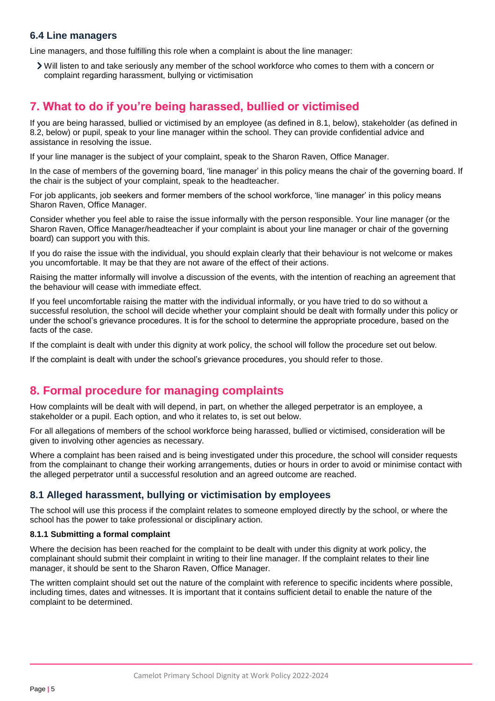#### **6.4 Line managers**

Line managers, and those fulfilling this role when a complaint is about the line manager:

Will listen to and take seriously any member of the school workforce who comes to them with a concern or complaint regarding harassment, bullying or victimisation

## <span id="page-4-0"></span>**7. What to do if you're being harassed, bullied or victimised**

If you are being harassed, bullied or victimised by an employee (as defined in 8.1, below), stakeholder (as defined in 8.2, below) or pupil, speak to your line manager within the school. They can provide confidential advice and assistance in resolving the issue.

If your line manager is the subject of your complaint, speak to the Sharon Raven, Office Manager.

In the case of members of the governing board, 'line manager' in this policy means the chair of the governing board. If the chair is the subject of your complaint, speak to the headteacher.

For job applicants, job seekers and former members of the school workforce, 'line manager' in this policy means Sharon Raven, Office Manager.

Consider whether you feel able to raise the issue informally with the person responsible. Your line manager (or the Sharon Raven, Office Manager/headteacher if your complaint is about your line manager or chair of the governing board) can support you with this.

If you do raise the issue with the individual, you should explain clearly that their behaviour is not welcome or makes you uncomfortable. It may be that they are not aware of the effect of their actions.

Raising the matter informally will involve a discussion of the events, with the intention of reaching an agreement that the behaviour will cease with immediate effect.

If you feel uncomfortable raising the matter with the individual informally, or you have tried to do so without a successful resolution, the school will decide whether your complaint should be dealt with formally under this policy or under the school's grievance procedures. It is for the school to determine the appropriate procedure, based on the facts of the case.

If the complaint is dealt with under this dignity at work policy, the school will follow the procedure set out below.

If the complaint is dealt with under the school's grievance procedures, you should refer to those.

## <span id="page-4-1"></span>**8. Formal procedure for managing complaints**

How complaints will be dealt with will depend, in part, on whether the alleged perpetrator is an employee, a stakeholder or a pupil. Each option, and who it relates to, is set out below.

For all allegations of members of the school workforce being harassed, bullied or victimised, consideration will be given to involving other agencies as necessary.

Where a complaint has been raised and is being investigated under this procedure, the school will consider requests from the complainant to change their working arrangements, duties or hours in order to avoid or minimise contact with the alleged perpetrator until a successful resolution and an agreed outcome are reached.

### **8.1 Alleged harassment, bullying or victimisation by employees**

The school will use this process if the complaint relates to someone employed directly by the school, or where the school has the power to take professional or disciplinary action.

#### **8.1.1 Submitting a formal complaint**

Where the decision has been reached for the complaint to be dealt with under this dignity at work policy, the complainant should submit their complaint in writing to their line manager. If the complaint relates to their line manager, it should be sent to the Sharon Raven, Office Manager.

The written complaint should set out the nature of the complaint with reference to specific incidents where possible, including times, dates and witnesses. It is important that it contains sufficient detail to enable the nature of the complaint to be determined.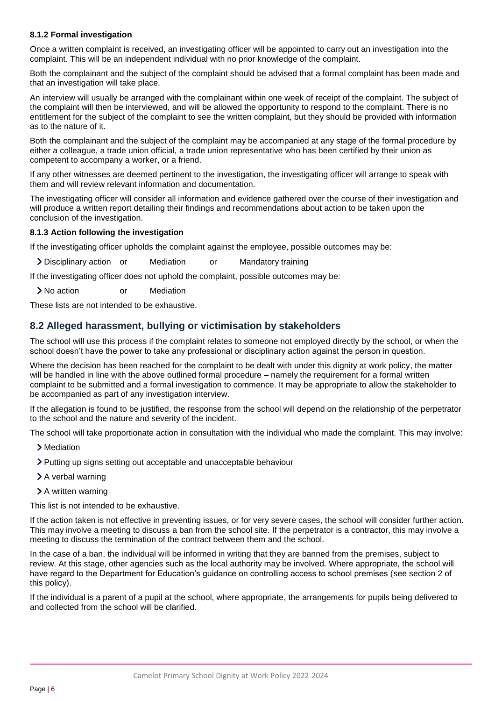#### **8.1.2 Formal investigation**

Once a written complaint is received, an investigating officer will be appointed to carry out an investigation into the complaint. This will be an independent individual with no prior knowledge of the complaint.

Both the complainant and the subject of the complaint should be advised that a formal complaint has been made and that an investigation will take place.

An interview will usually be arranged with the complainant within one week of receipt of the complaint. The subject of the complaint will then be interviewed, and will be allowed the opportunity to respond to the complaint. There is no entitlement for the subject of the complaint to see the written complaint, but they should be provided with information as to the nature of it.

Both the complainant and the subject of the complaint may be accompanied at any stage of the formal procedure by either a colleague, a trade union official, a trade union representative who has been certified by their union as competent to accompany a worker, or a friend.

If any other witnesses are deemed pertinent to the investigation, the investigating officer will arrange to speak with them and will review relevant information and documentation.

The investigating officer will consider all information and evidence gathered over the course of their investigation and will produce a written report detailing their findings and recommendations about action to be taken upon the conclusion of the investigation.

#### **8.1.3 Action following the investigation**

If the investigating officer upholds the complaint against the employee, possible outcomes may be:

> Disciplinary action or Mediation or Mandatory training

If the investigating officer does not uphold the complaint, possible outcomes may be:

No action or Mediation

These lists are not intended to be exhaustive.

#### **8.2 Alleged harassment, bullying or victimisation by stakeholders**

The school will use this process if the complaint relates to someone not employed directly by the school, or when the school doesn't have the power to take any professional or disciplinary action against the person in question.

Where the decision has been reached for the complaint to be dealt with under this dignity at work policy, the matter will be handled in line with the above outlined formal procedure – namely the requirement for a formal written complaint to be submitted and a formal investigation to commence. It may be appropriate to allow the stakeholder to be accompanied as part of any investigation interview.

If the allegation is found to be justified, the response from the school will depend on the relationship of the perpetrator to the school and the nature and severity of the incident.

The school will take proportionate action in consultation with the individual who made the complaint. This may involve:

- > Mediation
- Putting up signs setting out acceptable and unacceptable behaviour
- > A verbal warning
- > A written warning

This list is not intended to be exhaustive.

If the action taken is not effective in preventing issues, or for very severe cases, the school will consider further action. This may involve a meeting to discuss a ban from the school site. If the perpetrator is a contractor, this may involve a meeting to discuss the termination of the contract between them and the school.

In the case of a ban, the individual will be informed in writing that they are banned from the premises, subject to review. At this stage, other agencies such as the local authority may be involved. Where appropriate, the school will have regard to the Department for Education's guidance on controlling access to school premises (see section 2 of this policy).

If the individual is a parent of a pupil at the school, where appropriate, the arrangements for pupils being delivered to and collected from the school will be clarified.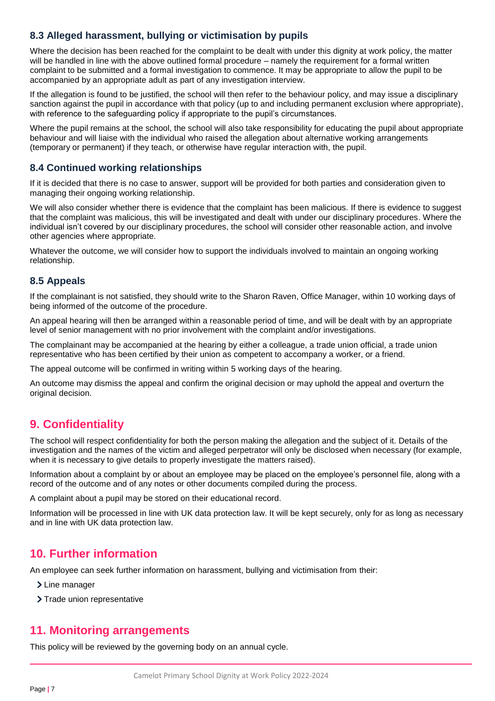## **8.3 Alleged harassment, bullying or victimisation by pupils**

Where the decision has been reached for the complaint to be dealt with under this dignity at work policy, the matter will be handled in line with the above outlined formal procedure – namely the requirement for a formal written complaint to be submitted and a formal investigation to commence. It may be appropriate to allow the pupil to be accompanied by an appropriate adult as part of any investigation interview.

If the allegation is found to be justified, the school will then refer to the behaviour policy, and may issue a disciplinary sanction against the pupil in accordance with that policy (up to and including permanent exclusion where appropriate), with reference to the safeguarding policy if appropriate to the pupil's circumstances.

Where the pupil remains at the school, the school will also take responsibility for educating the pupil about appropriate behaviour and will liaise with the individual who raised the allegation about alternative working arrangements (temporary or permanent) if they teach, or otherwise have regular interaction with, the pupil.

## **8.4 Continued working relationships**

If it is decided that there is no case to answer, support will be provided for both parties and consideration given to managing their ongoing working relationship.

We will also consider whether there is evidence that the complaint has been malicious. If there is evidence to suggest that the complaint was malicious, this will be investigated and dealt with under our disciplinary procedures. Where the individual isn't covered by our disciplinary procedures, the school will consider other reasonable action, and involve other agencies where appropriate.

Whatever the outcome, we will consider how to support the individuals involved to maintain an ongoing working relationship.

### **8.5 Appeals**

If the complainant is not satisfied, they should write to the Sharon Raven, Office Manager, within 10 working days of being informed of the outcome of the procedure.

An appeal hearing will then be arranged within a reasonable period of time, and will be dealt with by an appropriate level of senior management with no prior involvement with the complaint and/or investigations.

The complainant may be accompanied at the hearing by either a colleague, a trade union official, a trade union representative who has been certified by their union as competent to accompany a worker, or a friend.

The appeal outcome will be confirmed in writing within 5 working days of the hearing.

An outcome may dismiss the appeal and confirm the original decision or may uphold the appeal and overturn the original decision.

## <span id="page-6-0"></span>**9. Confidentiality**

The school will respect confidentiality for both the person making the allegation and the subject of it. Details of the investigation and the names of the victim and alleged perpetrator will only be disclosed when necessary (for example, when it is necessary to give details to properly investigate the matters raised).

Information about a complaint by or about an employee may be placed on the employee's personnel file, along with a record of the outcome and of any notes or other documents compiled during the process.

A complaint about a pupil may be stored on their educational record.

Information will be processed in line with UK data protection law. It will be kept securely, only for as long as necessary and in line with UK data protection law.

## <span id="page-6-1"></span>**10. Further information**

An employee can seek further information on harassment, bullying and victimisation from their:

> Line manager

> Trade union representative

## <span id="page-6-2"></span>**11. Monitoring arrangements**

This policy will be reviewed by the governing body on an annual cycle.